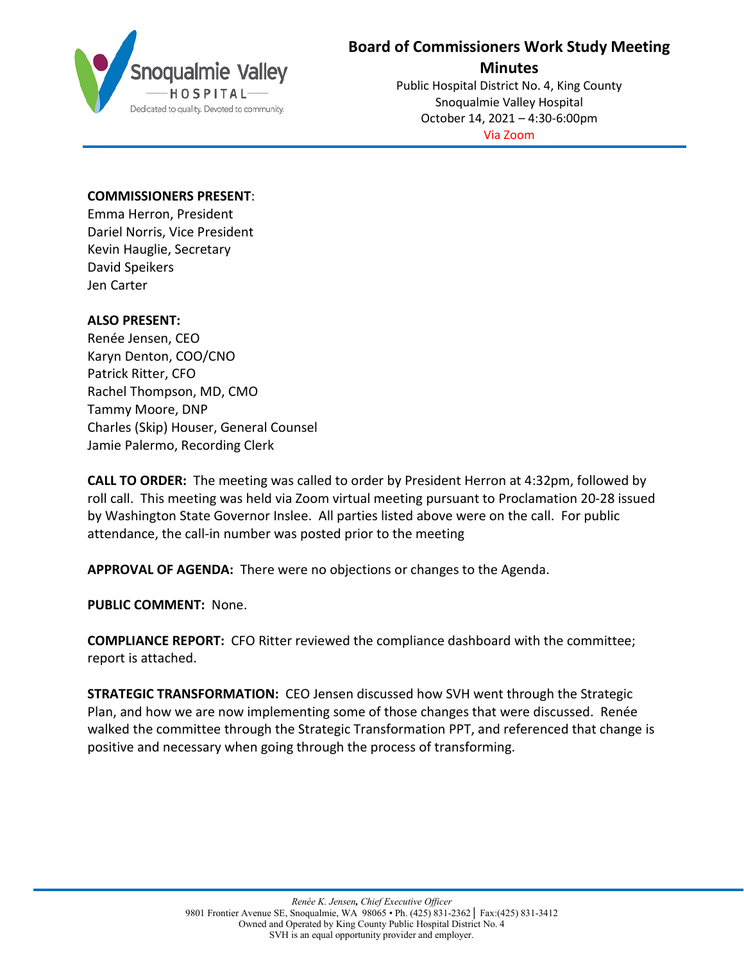

## **Board of Commissioners Work Study Meeting**

**Minutes**

Public Hospital District No. 4, King County Snoqualmie Valley Hospital October 14, 2021 – 4:30-6:00pm Via Zoom

## **COMMISSIONERS PRESENT**:

Emma Herron, President Dariel Norris, Vice President Kevin Hauglie, Secretary David Speikers Jen Carter

## **ALSO PRESENT:**

Renée Jensen, CEO Karyn Denton, COO/CNO Patrick Ritter, CFO Rachel Thompson, MD, CMO Tammy Moore, DNP Charles (Skip) Houser, General Counsel Jamie Palermo, Recording Clerk

**CALL TO ORDER:** The meeting was called to order by President Herron at 4:32pm, followed by roll call. This meeting was held via Zoom virtual meeting pursuant to Proclamation 20-28 issued by Washington State Governor Inslee. All parties listed above were on the call. For public attendance, the call-in number was posted prior to the meeting

**APPROVAL OF AGENDA:** There were no objections or changes to the Agenda.

**PUBLIC COMMENT:** None.

**COMPLIANCE REPORT:** CFO Ritter reviewed the compliance dashboard with the committee; report is attached.

**STRATEGIC TRANSFORMATION:** CEO Jensen discussed how SVH went through the Strategic Plan, and how we are now implementing some of those changes that were discussed. Renée walked the committee through the Strategic Transformation PPT, and referenced that change is positive and necessary when going through the process of transforming.